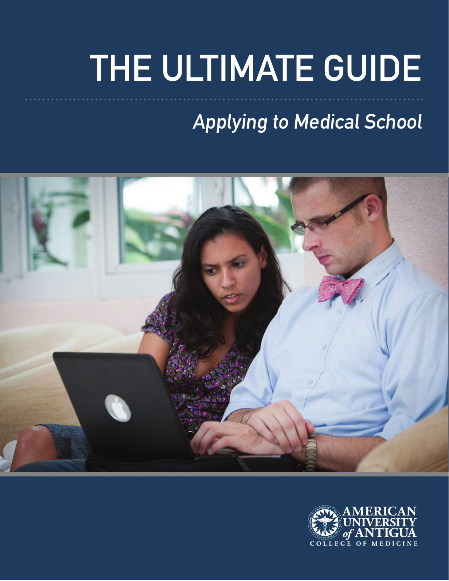# **THE ULTIMATE GUIDE**

### **Applying to Medical School**



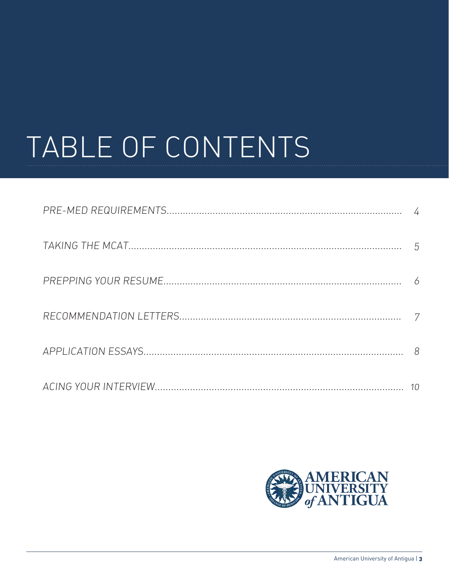### TABLE OF CONTENTS

| 10 |
|----|

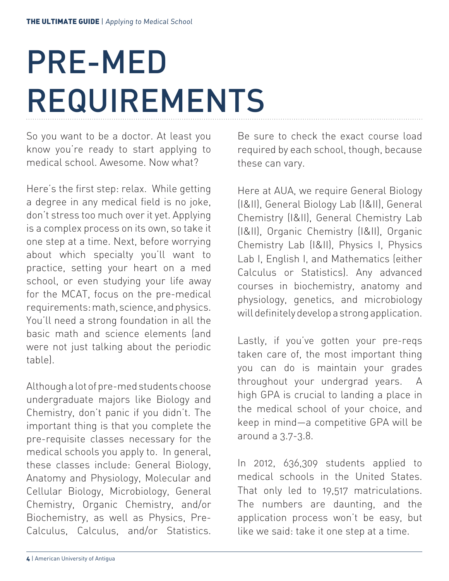### PRE-MED REQUIREMENTS

So you want to be a doctor. At least you know you're ready to start applying to medical school. Awesome. Now what?

Here's the first step: relax. While getting a degree in any medical field is no joke, don't stress too much over it yet. Applying is a complex process on its own, so take it one step at a time. Next, before worrying about which specialty you'll want to practice, setting your heart on a med school, or even studying your life away for the MCAT, focus on the pre-medical requirements: math, science, and physics. You'll need a strong foundation in all the basic math and science elements (and were not just talking about the periodic table).

Although a lot of pre-med students choose undergraduate majors like Biology and Chemistry, don't panic if you didn't. The important thing is that you complete the pre-requisite classes necessary for the medical schools you apply to. In general, these classes include: General Biology, Anatomy and Physiology, Molecular and Cellular Biology, Microbiology, General Chemistry, Organic Chemistry, and/or Biochemistry, as well as Physics, Pre-Calculus, Calculus, and/or Statistics.

Be sure to check the exact course load required by each school, though, because these can vary.

Here at AUA, we require General Biology (I&II), General Biology Lab (I&II), General Chemistry (I&II), General Chemistry Lab (I&II), Organic Chemistry (I&II), Organic Chemistry Lab (I&II), Physics I, Physics Lab I, English I, and Mathematics (either Calculus or Statistics). Any advanced courses in biochemistry, anatomy and physiology, genetics, and microbiology will definitely develop a strong application.

Lastly, if you've gotten your pre-reqs taken care of, the most important thing you can do is maintain your grades throughout your undergrad years. A high GPA is crucial to landing a place in the medical school of your choice, and keep in mind—a competitive GPA will be around a 3.7-3.8.

In 2012, 636,309 students applied to medical schools in the United States. That only led to 19,517 matriculations. The numbers are daunting, and the application process won't be easy, but like we said: take it one step at a time.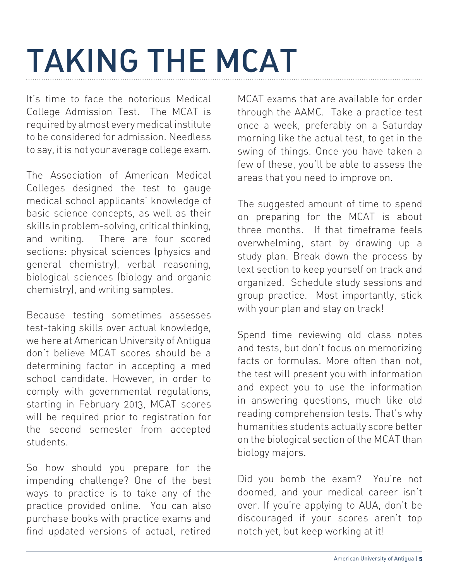### TAKING THE MCAT

It's time to face the notorious Medical College Admission Test. The MCAT is required by almost every medical institute to be considered for admission. Needless to say, it is not your average college exam.

The Association of American Medical Colleges designed the test to gauge medical school applicants' knowledge of basic science concepts, as well as their skills in problem-solving, critical thinking, and writing. There are four scored sections: physical sciences (physics and general chemistry), verbal reasoning, biological sciences (biology and organic chemistry), and writing samples.

Because testing sometimes assesses test-taking skills over actual knowledge, we here at American University of Antigua don't believe MCAT scores should be a determining factor in accepting a med school candidate. However, in order to comply with governmental regulations, starting in February 2013, MCAT scores will be required prior to registration for the second semester from accepted students.

So how should you prepare for the impending challenge? One of the best ways to practice is to take any of the practice provided online. You can also purchase books with practice exams and find updated versions of actual, retired

MCAT exams that are available for order through the AAMC. Take a practice test once a week, preferably on a Saturday morning like the actual test, to get in the swing of things. Once you have taken a few of these, you'll be able to assess the areas that you need to improve on.

The suggested amount of time to spend on preparing for the MCAT is about three months. If that timeframe feels overwhelming, start by drawing up a study plan. Break down the process by text section to keep yourself on track and organized. Schedule study sessions and group practice. Most importantly, stick with your plan and stay on track!

Spend time reviewing old class notes and tests, but don't focus on memorizing facts or formulas. More often than not, the test will present you with information and expect you to use the information in answering questions, much like old reading comprehension tests. That's why humanities students actually score better on the biological section of the MCAT than biology majors.

Did you bomb the exam? You're not doomed, and your medical career isn't over. If you're applying to AUA, don't be discouraged if your scores aren't top notch yet, but keep working at it!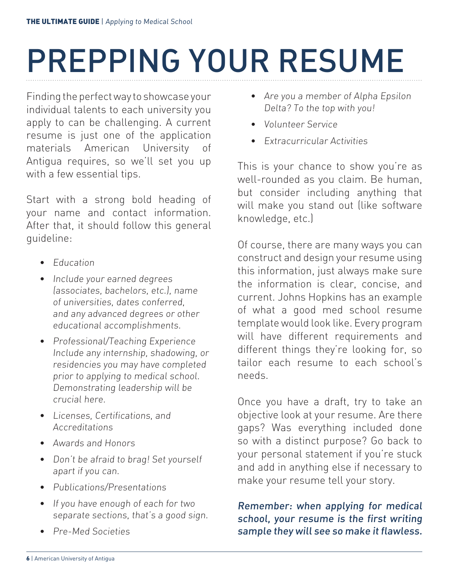### PREPPING YOUR RESUME

Finding the perfect way to showcase your individual talents to each university you apply to can be challenging. A current resume is just one of the application materials American University of Antigua requires, so we'll set you up with a few essential tips.

Start with a strong bold heading of your name and contact information. After that, it should follow this general guideline:

- Education
- Include your earned degrees (associates, bachelors, etc.), name of universities, dates conferred, and any advanced degrees or other educational accomplishments.
- Professional/Teaching Experience Include any internship, shadowing, or residencies you may have completed prior to applying to medical school. Demonstrating leadership will be crucial here.
- Licenses, Certifications, and Accreditations
- Awards and Honors
- Don't be afraid to brag! Set yourself apart if you can.
- Publications/Presentations
- If you have enough of each for two separate sections, that's a good sign.
- Pre-Med Societies
- Are you a member of Alpha Epsilon Delta? To the top with you!
- Volunteer Service
- Extracurricular Activities

This is your chance to show you're as well-rounded as you claim. Be human, but consider including anything that will make you stand out (like software knowledge, etc.)

Of course, there are many ways you can construct and design your resume using this information, just always make sure the information is clear, concise, and current. Johns Hopkins has an example of what a good med school resume template would look like. Every program will have different requirements and different things they're looking for, so tailor each resume to each school's needs.

Once you have a draft, try to take an objective look at your resume. Are there gaps? Was everything included done so with a distinct purpose? Go back to your personal statement if you're stuck and add in anything else if necessary to make your resume tell your story.

#### Remember: when applying for medical school, your resume is the first writing sample they will see so make it flawless.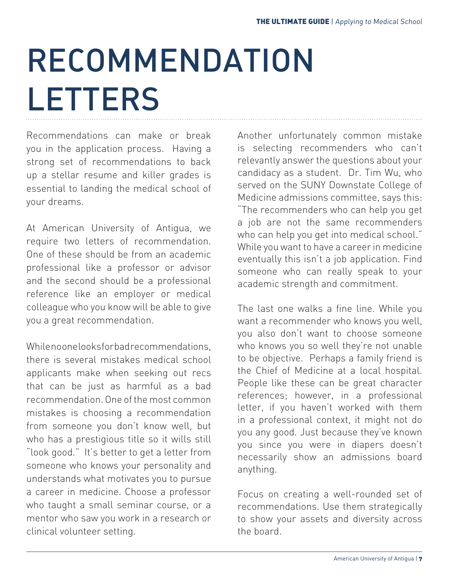### RECOMMENDATION **LETTERS**

Recommendations can make or break you in the application process. Having a strong set of recommendations to back up a stellar resume and killer grades is essential to landing the medical school of your dreams.

At American University of Antigua, we require two letters of recommendation. One of these should be from an academic professional like a professor or advisor and the second should be a professional reference like an employer or medical colleague who you know will be able to give you a great recommendation.

While no one looks for bad recommendations there is several mistakes medical school applicants make when seeking out recs that can be just as harmful as a bad recommendation. One of the most common mistakes is choosing a recommendation from someone you don't know well, but who has a prestigious title so it wills still "look good." It's better to get a letter from someone who knows your personality and understands what motivates you to pursue a career in medicine. Choose a professor who taught a small seminar course, or a mentor who saw you work in a research or clinical volunteer setting.

Another unfortunately common mistake is selecting recommenders who can't relevantly answer the questions about your candidacy as a student. Dr. Tim Wu, who served on the SUNY Downstate College of Medicine admissions committee, says this: "The recommenders who can help you get a job are not the same recommenders who can help you get into medical school." While you want to have a career in medicine eventually this isn't a job application. Find someone who can really speak to your academic strength and commitment.

The last one walks a fine line. While you want a recommender who knows you well, you also don't want to choose someone who knows you so well they're not unable to be objective. Perhaps a family friend is the Chief of Medicine at a local hospital. People like these can be great character references; however, in a professional letter, if you haven't worked with them in a professional context, it might not do you any good. Just because they've known you since you were in diapers doesn't necessarily show an admissions board anything.

Focus on creating a well-rounded set of recommendations. Use them strategically to show your assets and diversity across the board.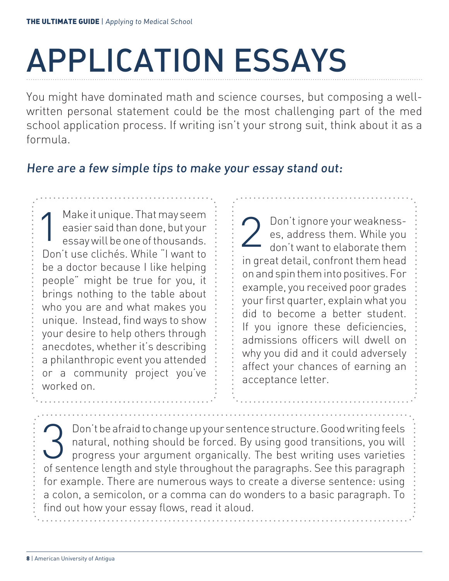## APPLICATION ESSAYS

You might have dominated math and science courses, but composing a wellwritten personal statement could be the most challenging part of the med school application process. If writing isn't your strong suit, think about it as a formula.

#### Here are a few simple tips to make your essay stand out:

1 Make it unique. That may seem easier said than done, but your essay will be one of thousands. Don't use clichés. While "I want to be a doctor because I like helping people" might be true for you, it brings nothing to the table about who you are and what makes you unique. Instead, find ways to show your desire to help others through anecdotes, whether it's describing a philanthropic event you attended or a community project you've worked on.

Don't ignore your weakness-<br>es, address them. While you<br>don't want to elaborate them es, address them. While you don't want to elaborate them in great detail, confront them head on and spin them into positives. For example, you received poor grades your first quarter, explain what you did to become a better student. If you ignore these deficiencies, admissions officers will dwell on why you did and it could adversely affect your chances of earning an acceptance letter.

Bon't be afraid to change up your sentence structure. Good writing feels<br>atural, nothing should be forced. By using good transitions, you will<br>progress your argument organically. The best writing uses varieties natural, nothing should be forced. By using good transitions, you will progress your argument organically. The best writing uses varieties of sentence length and style throughout the paragraphs. See this paragraph for example. There are numerous ways to create a diverse sentence: using a colon, a semicolon, or a comma can do wonders to a basic paragraph. To find out how your essay flows, read it aloud.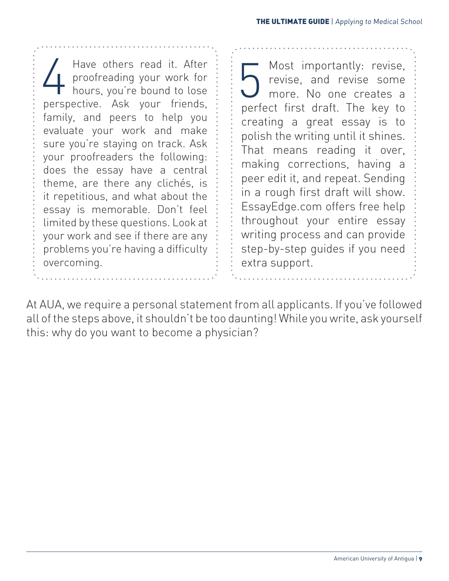Have others read it. After<br>proofreading your work for<br>hours, you're bound to lose proofreading your work for hours, you're bound to lose perspective. Ask your friends, family, and peers to help you evaluate your work and make sure you're staying on track. Ask your proofreaders the following: does the essay have a central theme, are there any clichés, is it repetitious, and what about the essay is memorable. Don't feel limited by these questions. Look at your work and see if there are any problems you're having a difficulty overcoming.

Most importantly: revise,<br>revise, and revise some<br>more. No one creates a revise, and revise some more. No one creates a perfect first draft. The key to creating a great essay is to polish the writing until it shines. That means reading it over, making corrections, having a peer edit it, and repeat. Sending in a rough first draft will show. EssayEdge.com offers free help throughout your entire essay writing process and can provide step-by-step guides if you need extra support.

At AUA, we require a personal statement from all applicants. If you've followed all of the steps above, it shouldn't be too daunting! While you write, ask yourself this: why do you want to become a physician?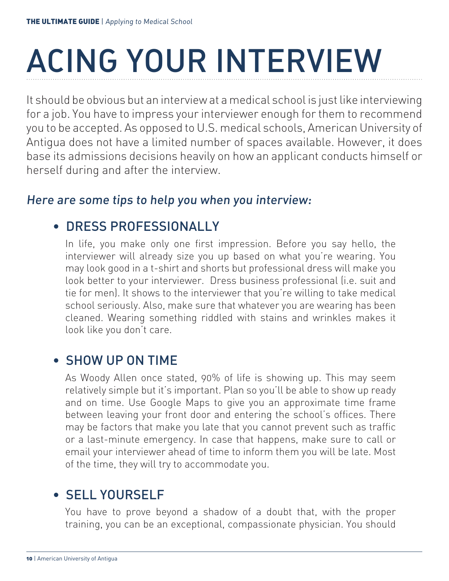## ACING YOUR INTERVIEW

It should be obvious but an interview at a medical school is just like interviewing for a job. You have to impress your interviewer enough for them to recommend you to be accepted. As opposed to U.S. medical schools, American University of Antigua does not have a limited number of spaces available. However, it does base its admissions decisions heavily on how an applicant conducts himself or herself during and after the interview.

#### Here are some tips to help you when you interview:

#### • DRESS PROFESSIONALLY

In life, you make only one first impression. Before you say hello, the interviewer will already size you up based on what you're wearing. You may look good in a t-shirt and shorts but professional dress will make you look better to your interviewer. Dress business professional (i.e. suit and tie for men). It shows to the interviewer that you're willing to take medical school seriously. Also, make sure that whatever you are wearing has been cleaned. Wearing something riddled with stains and wrinkles makes it look like you don't care.

#### • SHOW UP ON TIME

As Woody Allen once stated, 90% of life is showing up. This may seem relatively simple but it's important. Plan so you'll be able to show up ready and on time. Use Google Maps to give you an approximate time frame between leaving your front door and entering the school's offices. There may be factors that make you late that you cannot prevent such as traffic or a last-minute emergency. In case that happens, make sure to call or email your interviewer ahead of time to inform them you will be late. Most of the time, they will try to accommodate you.

#### • SELL YOURSELF

You have to prove beyond a shadow of a doubt that, with the proper training, you can be an exceptional, compassionate physician. You should